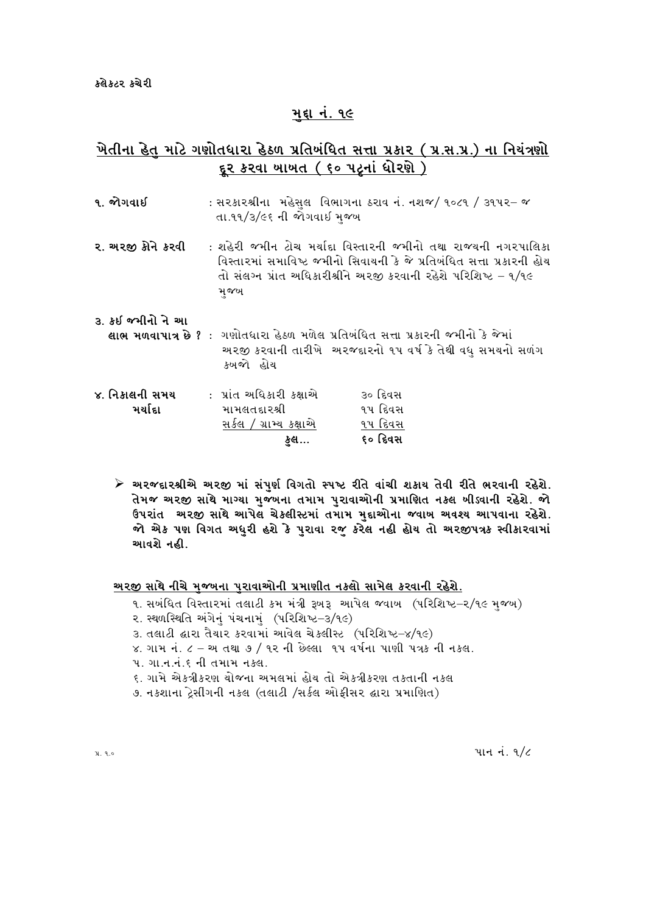### મદ્દા નં. ૧૯

# ખેતીના હેત માટે ગણોતધારા હેઠળ પ્રતિબંધિત સત્તા પ્રકાર (પ્ર.સ.પ્ર.) ના નિયંત્રણો <u>દૂર કરવા ખાખત (૬૦ પટ્નાં ધોરણે)</u>

| ૧. જોગવાઈ                 | તા.૧૧/૩/૯૬ ની જોગવાઈ મજબ                                                  | : સ૨કા૨શ્રીના  મહેસલ  વિભાગના ઠરાવ નં. નશજ/ ૧૦૮૧ / ૩૧૫૨– જ                                                                                                                                                  |
|---------------------------|---------------------------------------------------------------------------|-------------------------------------------------------------------------------------------------------------------------------------------------------------------------------------------------------------|
| ર. અરજી કોને કરવી         | મજખ                                                                       | : શહેરી જમીન ટોચ મર્યાદા વિસ્તારની જમીનો તથા રાજ્યની નગરપાલિકા<br>વિસ્તારમાં સમાવિષ્ટ જમીનો સિવાયની કે જે પ્રતિબંધિત સત્તા પ્રકારની હોય<br>તો સંલગ્ન પ્રાંત અધિકારીશ્રીને અરજી કરવાની રહેશે પરિશિષ્ટ – ૧/૧૯ |
| ૩. કઇ જમીનો ને આ          | કબજો હોય                                                                  | <b>લાભ મળવાપાત્ર છે ?</b> :  ગણોતધારા હેઠળ મળેલ પ્રતિબંધિત સત્તા પ્રકારની જમીનો કે જેમાં<br>અરજી કરવાની તારીખે અરજદારનો ૧૫ વર્ષ કે તેથી વધુ સમયનો સળંગ                                                      |
| ૪. નિકાલની સમય<br>મર્યાદા | : પ્રાંત અધિકારી કક્ષાએ<br>મામલતદારશ્રી<br>સર્કલ / ગ્રામ્ય કક્ષાએ<br>ફુલ… | ૩૦ દિવસ<br>૧૫ દિવસ<br>૧૫ દિવસ<br>૬૦ દિવસ                                                                                                                                                                    |

≻ અરજદારશ્રીએ અરજી માં સંપુર્ણ વિગતો સ્પષ્ટ રીતે વાંચી શકાય તેવી રીતે ભરવાની રહેશે. તેમજ અરજી સાથે માગ્યા મુજબના તમામ પુરાવાઓની પ્રમાણિત નક્લ બીડ્વાની રહેશે. જો ઉપરાંત અરજી સાથે આપેલ ચેકલીસ્ટમાં તમામ મુદ્દાઓના જવાબ અવશ્ય આપવાના રહેશે. જો એક પણ વિગત અધરી હશે કે પુરાવા રજૂ કરેલ નહી હોય તો અરજીપત્રક સ્વીકારવામાં આવશે નહી.

#### <u>અરજી સાથે નીચે મજ્યના પરાવાઓની પ્રમાણીત નકલો સામેલ કરવાની રહેશે.</u>

- ૧. સબંધિત વિસ્તારમાં તલાટી કમ મંત્રી રૂબરૂ આપેલ જવાબ (પરિશિષ્ટ–૨/૧૯ મજબ)
- ૨. સ્થળસ્થિતિ અંગેનું પંચનામું (પરિશિષ્ટ-3/૧૯)
- 3. તલાટી દ્વારા તૈયાર કરવામાં આવેલ ચેકલીસ્ટ (પરિશિષ્ટ-૪/૧૯)
- $x$ . ગામ નં. ૮ અ તથા ૭ / ૧૨ ની છેલ્લા ૧૫ વર્ષના પાણી પત્રક ની નકલ.
- ૫. ગા.ન.નં.૬ ની તમામ નકલ.
- ૬. ગામે એકત્રીકરણ ચોજના અમલમાં હોય તો એકત્રીકરણ તકતાની નકલ
- ૭. નકશાના ડ્રેસીંગની નકલ (તલાટી /સર્કલ ઓફીસર દ્વારા પ્રમાણિત)

પાન નં.  $9/6$ 

 $31.9.0$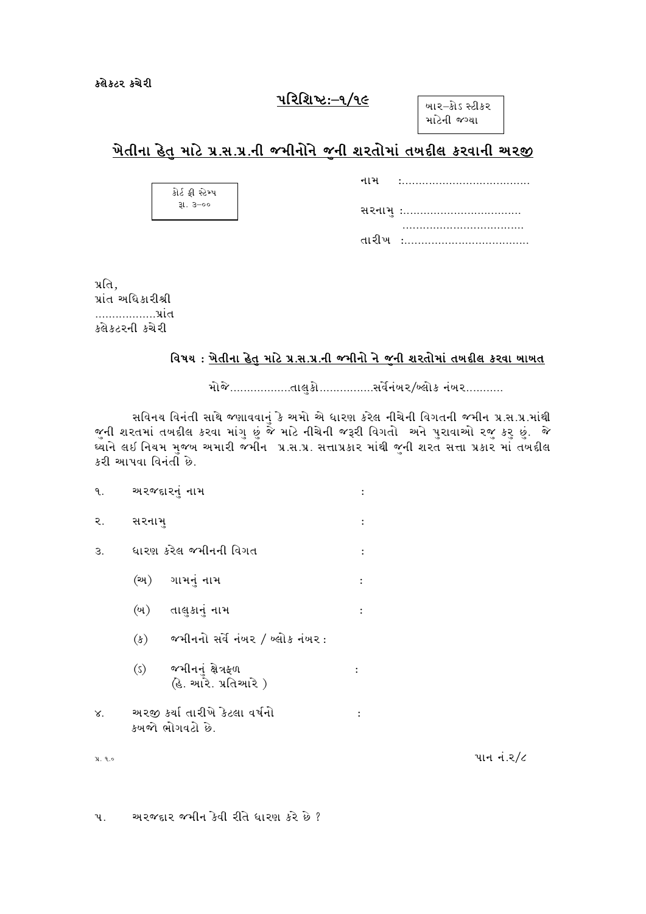## પરિશિષ્ટ:–૧/૧૯

બાર–કોડ સ્ટીકર માટેની જગ્યા

# મેતીના હેત માટે પ્ર.સ.પ્ર.ની જમીનોને જની શરતોમાં તખદીલ કરવાની અરજી

GFD oPPPPPPPPPPPPPPPPPPPPPPPPPPPPPPPPPPPPPP

| કોર્ટ કી સ્ટેમ્પ |
|------------------|
| $31.3 - 00$      |
|                  |

પ્રતિ. પ્રાંત અધિકારીશ્રી PPPPPPPPPPPPPPPPPP5|F\T કલેકટરની કચેરી

### વિષય: <u>ખેતીના હેત માટે પ્ર.સ.પ્ર.ની જમીનો ને જની શરતોમાં તખદીલ કરવા ખાખત</u>

મોજે...................તાલુકો.................સર્વેનંબર/બ્લોક નંબર............

સવિનય વિનંતી સાથે જણાવવાનું કે અમો એ ધારણ કરેલ નીચેની વિગતની જમીન પ્ર.સ.પ્ર.માંથી જુની શરતમાં તખદીલ કરવા માંગુ છું જે માટે નીચેની જરૂરી વિગતો અને પુરાવાઓ રજુ કરુ છું. જે .<br>.<br>E alid as faulth with the soft with the basic time set of the set of the set of the set of the set of the set કરી આપવા વિનંતી છે.

| ٩.         |       | અરજદારનું નામ                                     |                      |
|------------|-------|---------------------------------------------------|----------------------|
| ર.         | સરનામ |                                                   |                      |
| З.         |       | ધારણ કરેલ જમીનની વિગત                             | $\ddot{\phantom{a}}$ |
|            |       | (અ) ગામનું નામ                                    | $\ddot{\phantom{0}}$ |
|            |       | (બ) તાલુકાનું નામ                                 |                      |
|            |       | $(s)$ જમીનનો સર્વે નંબર / બ્લોક નંબર:             |                      |
|            |       | (s) જમીનનું ક્ષેત્રફળ<br>હિ. આરે. પ્રતિઆરે )      |                      |
| $\times$ . |       | અરજી કર્યા તારીખે કેટલા વર્ષનો<br>કબજો ભોગવટો છે. |                      |

 $\mathcal{L}$ ,  $\mathcal{L}$ ,  $\mathcal{L}$ 

૫. અરજદાર જમીન કેવી રીતે ધારણ કરે છે ?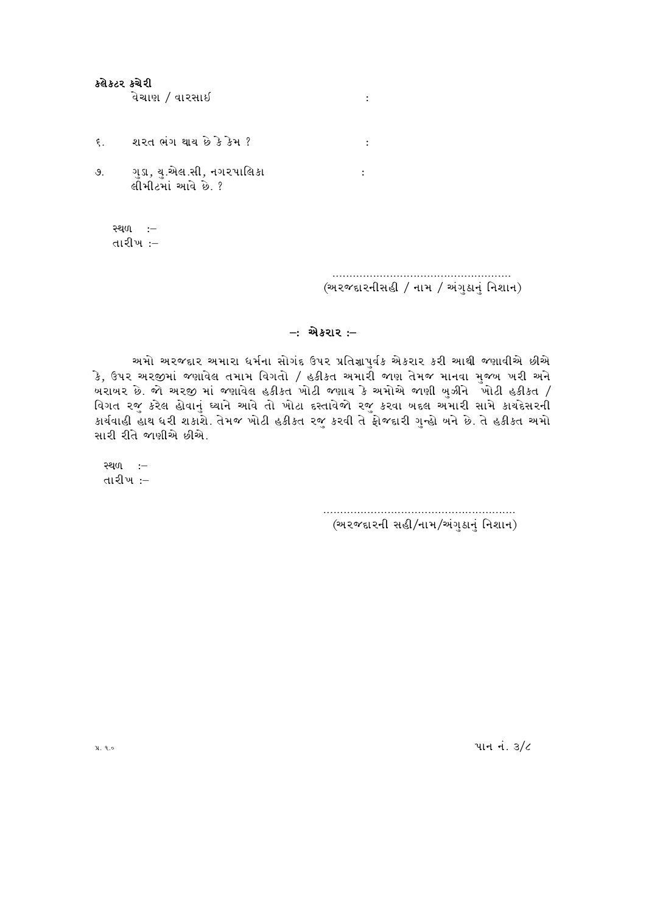#### ક્લેક્ટર કચેરી

વેચાણ / વારસાઈ

- ૬. શરત ભંગ થાય છે કે કેમ ?
- $\mathcal{S}$ . ગુડા, યુ.એલ.સી, નગરપાલિકા લીમીટમાં આવે છે. ?

સ્થળ :-તારીખ :–

> (અરજદારનીસહી / નામ / અંગુઠાનું નિશાન)

#### $-$ : એક્રરાર :–

 $\sim$  :

 $\mathbb{R}^2$ 

 $\sim$  1  $^{\circ}$ 

અમો અરજદાર અમારા ધર્મના સોગંદ ઉપર પ્રતિજ્ઞાપુર્વક એકરાર કરી આથી જણાવીએ છીએ .<br>કે, ઉપર અરજીમાં જણાવેલ તમામ વિગતો / હકીકત અમારી જાણ તેમજ માનવા મજબ ખરી અને <u>ખરાખર છે. જો અરજી માં જણાવેલ હકીકત ખોટી જણાય કે અમોએ જાણી ખુઝીને ખોટી હકીકત /</u> વિગત રજૂ કરેલ હોવાનું ઘ્યાને આવે તો ખોટા દસ્તાવેજો રજૂ કરવા બદલ અમારી સામે કાયદેસરની કાર્યવાહી હાથ ધરી શકાશે. તેમજ ખોટી હકીકત રજુ કરવી તે ફોજદારી ગુન્હો બને છે. તે હકીકત અમો સારી રીતે જાણીએ છીએ.

સ્થળ :-તારીખ :–

> (અરજદારની સહી/નામ/અંગુઠાનું નિશાન)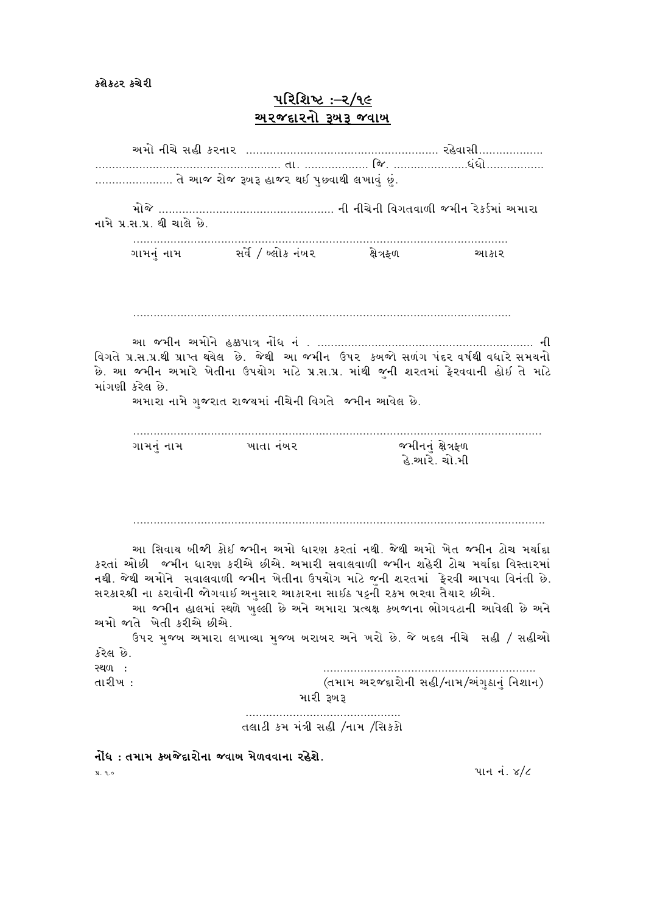કલેકટર કચેરી

# <u>પરિશિષ્ટ :–ર/૧૯</u> <u>અ૨જદા૨નો રૂખરૂ જવાખ</u>

|                                                                                                                                                                                                                                                                                                                                                                                                                                                                                                                    |                             | તે આજ રોજ રૂખરૂ હાજર થઈ પુછવાથી લખાવું છું.           |                  |                                                                                                                                                                               |  |
|--------------------------------------------------------------------------------------------------------------------------------------------------------------------------------------------------------------------------------------------------------------------------------------------------------------------------------------------------------------------------------------------------------------------------------------------------------------------------------------------------------------------|-----------------------------|-------------------------------------------------------|------------------|-------------------------------------------------------------------------------------------------------------------------------------------------------------------------------|--|
|                                                                                                                                                                                                                                                                                                                                                                                                                                                                                                                    |                             |                                                       |                  |                                                                                                                                                                               |  |
|                                                                                                                                                                                                                                                                                                                                                                                                                                                                                                                    | નામે પ્ર.સ.પ્ર. થી ચાલે છે. |                                                       |                  |                                                                                                                                                                               |  |
|                                                                                                                                                                                                                                                                                                                                                                                                                                                                                                                    |                             |                                                       |                  | ચ્યા કા ર                                                                                                                                                                     |  |
|                                                                                                                                                                                                                                                                                                                                                                                                                                                                                                                    | માંગણી કરેલ છે.             | અમારા નામે ગુજરાત રાજ્યમાં નીચેની વિગતે જમીન આવેલ છે. |                  | વિગતે પ્ર.સ.પ્ર.થી પ્રાપ્ત થયેલ છે. જેથી આ જમીન ઉપર કબજો સળંગ પંદર વર્ષથી વધારે સમયનો<br>છે. આ જમીન અમારે ખેતીના ઉપયોગ માટે પ્ર.સ.પ્ર. માંથી જુની શરતમાં ફેરવવાની હોઇ તે માટે |  |
|                                                                                                                                                                                                                                                                                                                                                                                                                                                                                                                    | ગામનં નામ ખાતા નંબર         |                                                       | જમીનનં ક્ષેત્રફળ | હે.આરે. ચો.મી                                                                                                                                                                 |  |
|                                                                                                                                                                                                                                                                                                                                                                                                                                                                                                                    |                             |                                                       |                  |                                                                                                                                                                               |  |
| આ સિવાય બીજી કોેઇ જમીન અમો ધારણ કરતાં નથી. જેથી અમો ખેત જમીન ટોચ મર્યાદા<br>કરતાં ઓછી જમીન ધારણ કરીએ છીએ. અમારી સવાલવાળી જમીન શહેરી ટોચ મર્યાદા વિસ્તારમાં<br>નથી. જેથી અમોને  સવાલવાળી જમીન ખેતીના ઉપયોગ માટે જની શરતમાં  ફેરવી આપવા વિનંતી છે.<br>સરકારશ્રી ના ઠરાવોની જોગવાઈ અનુસાર આકારના સાઈઠ પટ્ની રકમ ભરવા તૈયાર છીએ.<br>આ જમીન હાલમાં સ્થળે ખુલ્લી છે અને અમારા પ્રત્યક્ષ કબજાના ભોગવટાની આવેલી છે અને<br>અમો જાતે ખેતી કરીએ છીએ.<br>ઉપર મુજબ અમારા લખાવ્યા મુજબ બરાબર અને ખરો છે. જે બદલ નીચે  સહી / સહીઓ |                             |                                                       |                  |                                                                                                                                                                               |  |
| કરેલ છે.                                                                                                                                                                                                                                                                                                                                                                                                                                                                                                           |                             |                                                       |                  |                                                                                                                                                                               |  |
| સ્થળ :<br>તારીખ :                                                                                                                                                                                                                                                                                                                                                                                                                                                                                                  |                             | મારી રૂખરૂ                                            |                  | (તમામ અરજદારોની સહી/નામ/અંગુઠાનું નિશાન)                                                                                                                                      |  |
|                                                                                                                                                                                                                                                                                                                                                                                                                                                                                                                    |                             | તલાટી કમ મંત્રી સહી /નામ /સિકકો                       |                  |                                                                                                                                                                               |  |

 $\tilde{\mathcal{A}}$ ધિ : તમામ ક્ષ્યજેદારોના જવાષ મેળવવાના રહેશે.

 $x, a.$   $\frac{1}{2}$   $\frac{1}{2}$   $\frac{1}{2}$   $\frac{1}{2}$   $\frac{1}{2}$   $\frac{1}{2}$   $\frac{1}{2}$   $\frac{1}{2}$   $\frac{1}{2}$   $\frac{1}{2}$   $\frac{1}{2}$   $\frac{1}{2}$   $\frac{1}{2}$   $\frac{1}{2}$   $\frac{1}{2}$   $\frac{1}{2}$   $\frac{1}{2}$   $\frac{1}{2}$   $\frac{1}{2}$   $\frac{1}{2}$   $\frac{1}{2}$   $\frac{$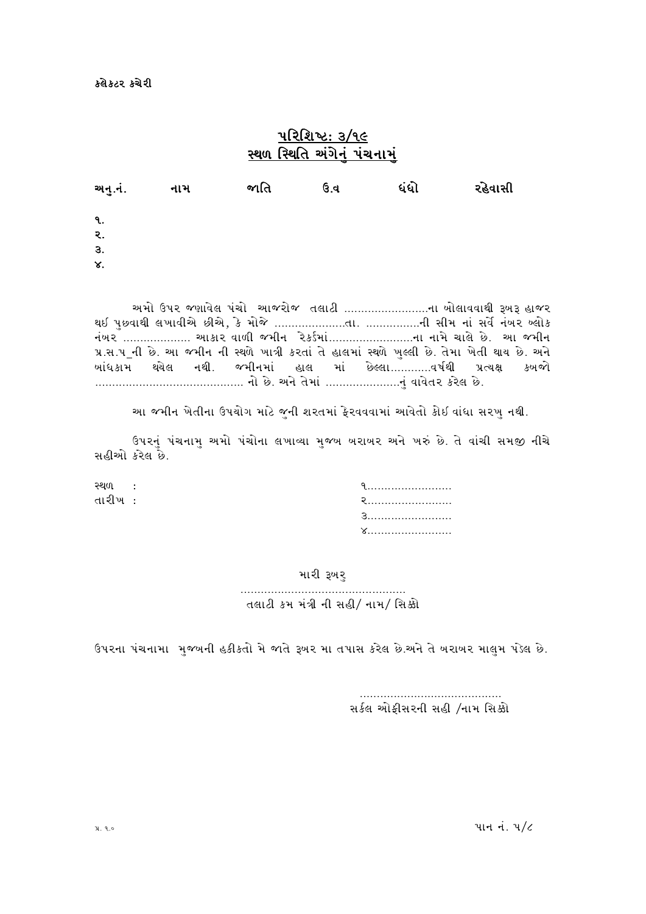## $42$ ચિશિષ્ટ $: 3/9$ ૯ સ્થળ સ્થિતિ અંગેનં પંચનામં

| અનુ.નં.                                              | નામ | જાતિ | ઉ.વ | ધંધો | રહેવાસી |
|------------------------------------------------------|-----|------|-----|------|---------|
| ૧.<br>$\mathcal{R}_{\bullet}$<br>3.<br>$\mathsf{x}.$ |     |      |     |      |         |

અમો ઉપર જણાવેલ પંચો આજરોજ તલાટી ...........................ના બોલાવવાથી રૂબરૂ હાજર Y. 5]KJFYL ,BFJLV[ KLV[4 S[ DMH[ PPPPPPPPPPPPPPPPPPPPPTFP PPPPPPPPPPPPPPPPGL ;LD GF\ ;J[ " G\AZ a,MS નંબર ................... આકાર વાળી જમીન રેકર્ડમાં............................ના નામે ચાલે છે. આ જમીન પ્ર.સ.પ\_ની છે. આ જમીન ની સ્થળે ખાત્રી કરતાં તે હાલમાં સ્થળે ખુલ્લી છે. તેમા ખેતી થા<mark>ય છે. અને</mark><br>ખાંધકામ થયેલ નથી. જમીનમાં હાલ માં છેલ્લા.............વર્ષથી પ્રત્યક્ષ કખજો ખાંધકામ થયેલ નથી. જમીનમાં હાલ માં છેલ્લા............વર્ષથી પ્રત્યક્ષ કખજો PPPPPPPPPPPPPPPPPPPPPPPPPPPPPPPPPPPPPPPPPPPP GM K[P VG [ T[DF\ PPPPPPPPPPPPPPPPPPPPPPG] \JFJ [TZ SZ[, K[P

આ જમીન ખેતીના ઉપચોગ માટે જુની શરતમાં ફેરવવવામાં આવેતો કોઈ વાંધા સરખુ નથી.

ઉપરનું પંચનામુ અમો પંચોના લખાવ્યા મુજબ બરાબર અને ખરું છે. તે વાંચી સમજી નીચે સહીઓ કરેલ છે.

| સ્થળ :  |  |
|---------|--|
| તારીખ : |  |
|         |  |
|         |  |

#### મારી રૂખરુ

PPPPPPPPPPPPPPPPPPPPPPPPPPPPPPPPPPPPPPPPPPPPPPPPP તલાટી કમ મંત્રી ની સહી/ નામ/ સિક્કો

ઉપરના પંચનામા મજબની હકીકતો મે જાતે રૂબર મા તપાસ કરેલ છે.અને તે બરાબર માલમ પડેલ છે.

 PPPPPPPPPPPPPPPPPPPPPPPPPPPPPPPPPPPPPPPPPP સર્કલ ઓફીસરની સહી /નામ સિક્કો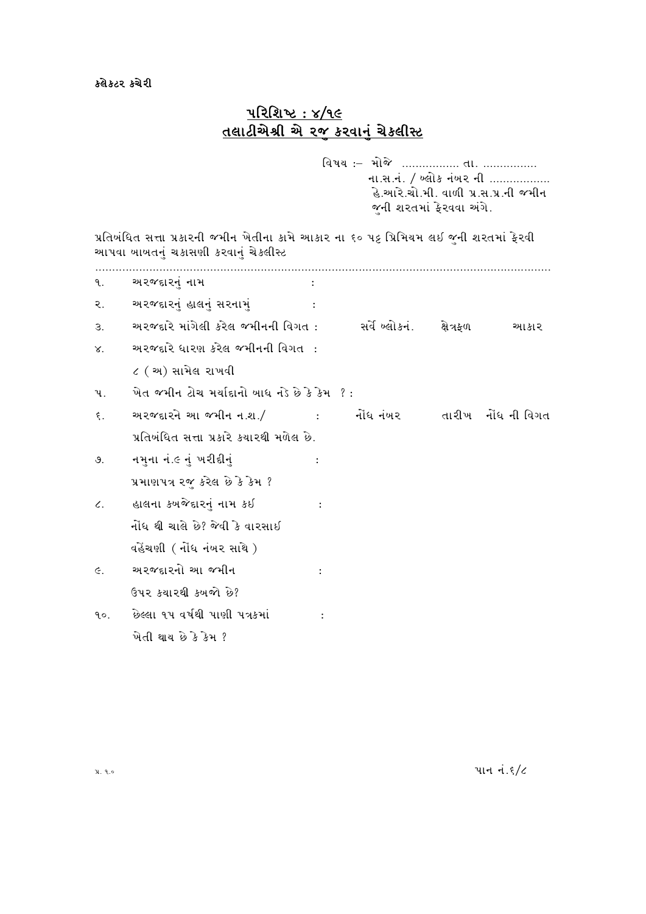### કલેકટર કચેરી

# <u> परिशिष्ट: ४/१૯</u> तसाटीसेश्री से २० करवानुं चेक्ष्सीस्ट

વિષય :- મોજે ................. તા. ............... ના.સ.નં. / બ્લોક નંબર ની .................. હે.આરે.ચો.મી. વાળી પ્ર.સ.પ્ર.ની જમીન જૂની શરતમાં ફેરવવા અંગે.

પ્રતિબંધિત સત્તા પ્રકારની જમીન ખેતીના કામે આકાર ના ૬૦ પટ્ટ પ્રિમિયમ લઇ જુની શરતમાં ફેરવી આપવા બાબતનું ચકાસણી કરવાનું ચેકલીસ્<mark>ટ</mark>

| ૧.              | અ૨જદા૨નું નામ                                                                              |           |  |  |
|-----------------|--------------------------------------------------------------------------------------------|-----------|--|--|
| ર.              | અરજદારનું હાલનું સરનામું                                                                   |           |  |  |
| 3.              | અરજદારે માંગેલી કરેલ જમીનની વિગત :          સર્વે બ્લોકનં.      ક્ષેત્રફળ             આકાર |           |  |  |
| $\times$ .      | અરજદારે ધારણ કરેલ જમીનની વિગત :                                                            |           |  |  |
|                 | $\zeta$ ( અ) સામેલ રાખવી                                                                   |           |  |  |
| પ.              | ખેત જમીન ટોચ મર્યાદાનો ખાધ નડે છે કે કેમ ?:                                                |           |  |  |
| $\xi$ .         | અરજદારને આ જમીન ન.શ./ સાંબાર નોંધ નંખર તારીખ નોંધ ની વિગત                                  |           |  |  |
|                 | પ્રતિબંધિત સત્તા પ્રકારે કયારથી મળેલ છે.                                                   |           |  |  |
| $\mathcal{S}$ . | નમુના નં.૯ નું ખરીદીનું                                                                    |           |  |  |
|                 | પ્રમાણપત્ર રજુ કરેલ છે કે કેમ ?                                                            |           |  |  |
| $\epsilon$ .    | હાલના કબજેદારનું નામ કઈ                                                                    | $\sim$ 1. |  |  |
|                 | નોંધ થી ચાલે છે? જેવી કે વારસાઈ                                                            |           |  |  |
|                 | વહેંચણી ( નોંધ નંબર સાથે )                                                                 |           |  |  |
| $\epsilon$ .    | અરજદારનો આ જમીન                                                                            |           |  |  |
|                 | ઉપર કચારથી કબજો છે?                                                                        |           |  |  |
| 9.0.            | છેલ્લા ૧૫ વર્ષથી પાણી પત્રકમાં                                                             |           |  |  |
|                 | ખેતી થાય છે કે કેમ ?                                                                       |           |  |  |
|                 |                                                                                            |           |  |  |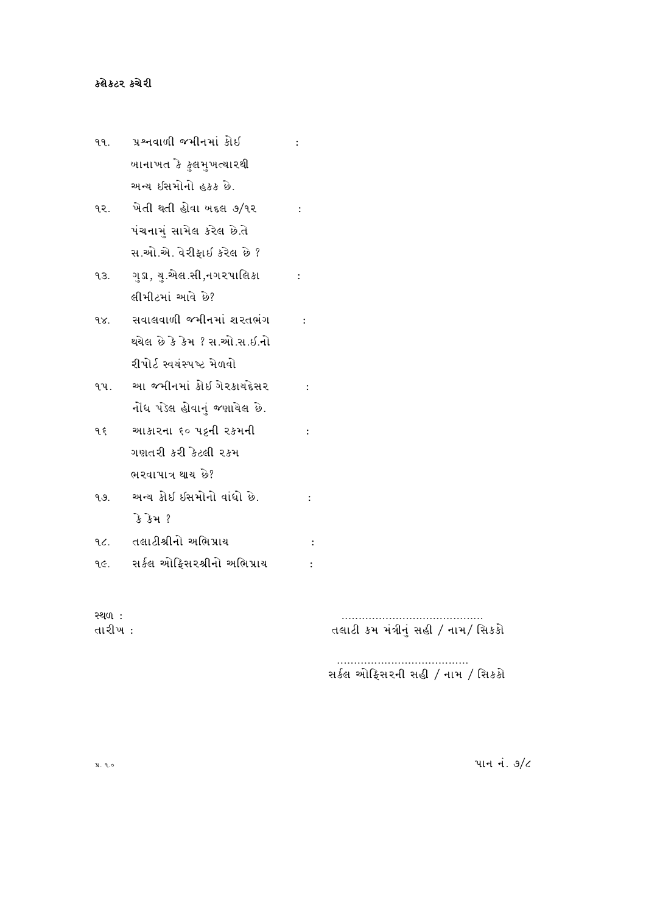## કલેકટર કચેરી

|     | ૧૧. પ્રશ્નવાળી જમીનમાં કોઈ        |                      |  |
|-----|-----------------------------------|----------------------|--|
|     | ખાનાખત કે કુલમુખત્યારથી           |                      |  |
|     | અન્ય ઇસમોનો હકક છે.               |                      |  |
|     | ૧૨. ખેતી થતી હોવા બદલ ૭/૧૨ :      |                      |  |
|     | પંચનામું સામેલ કરેલ છે.તે         |                      |  |
|     | સ.ઓ.એ. વેરીફાઈ કરેલ છે ?          |                      |  |
|     | ૧૩. ગુડા, યુ.એલ.સી,નગરપાલિકા :    |                      |  |
|     | લીમીટમાં આવે છે?                  |                      |  |
|     | ૧૪. સવાલવાળી જમીનમાં શરતભંગ :     |                      |  |
|     | થયેલ છે કે કેમ ? સ.ઓ.સ.ઇ.નો       |                      |  |
|     | રીપોર્ટ સ્વયંસ્પષ્ટ મેળવો         |                      |  |
|     | ૧૫. આ જમીનમાં કોઇ ગેરકાયદેસર :    |                      |  |
|     | નોંધ પેડેલ હોવાનું જણાયેલ છે.     |                      |  |
|     | १६ थ्या अप्तरना ६० पट्टनी २४भनी : |                      |  |
|     | ગણતરી કરી કેટલી રકમ               |                      |  |
|     | ભરવાપાત્ર થાય છે?                 |                      |  |
| ૧૭. | અન્ય કોઇ ઇસમોનો વાંધો છે.         |                      |  |
|     | કે કેમ ?                          |                      |  |
|     | ૧૮. તલાટીશ્રીનો અભિપ્રાય          | $\ddot{\phantom{a}}$ |  |
|     | ૧૯. સર્કલ ઓફિસરશ્રીનો અભિપ્રાય    |                      |  |
|     |                                   |                      |  |

**સ્થ**ળ: તારીખ :

…………………………………<br>સર્કલ ઓફિસરની સહી *|* નામ *|* સિકકો

પાન નં. 9/૮

પ્ર. ૧.૦